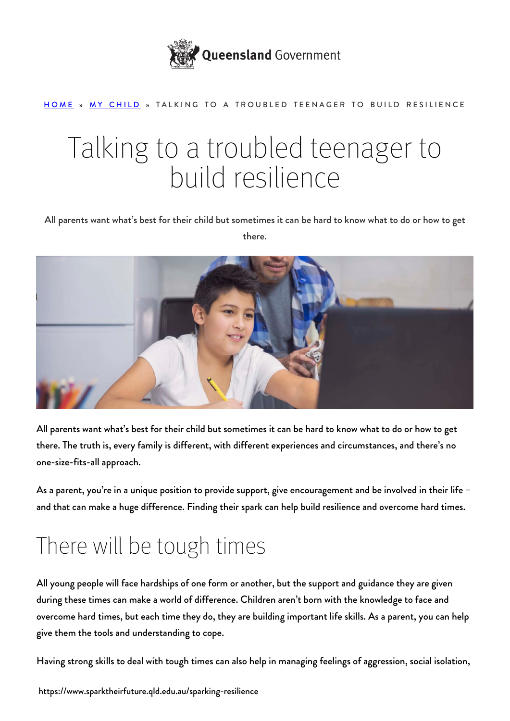

#### [HOME](https://www.sparktheirfuture.qld.edu.au/) » [MY CHILD](https://www.sparktheirfuture.qld.edu.au/category/my-child/) » TALKING TO A TROUBLED TEENAGER TO BUILD RESILIENCE

# Talking to a troubled teenager to build resilience

All parents want what's best for their child but sometimes it can be hard to know what to do or how to get there.



All parents want what's best for their child but sometimes it can be hard to know what to do or how to get there. The truth is, every family is different, with different experiences and circumstances, and there's no one-size-fits-all approach.

As a parent, you're in a [unique position to provide support](https://www.sparktheirfuture.qld.edu.au/how-can-i-make-a-difference/), give encouragement and be involved in their life – and that can make a huge difference. [Finding their spark](https://www.sparktheirfuture.qld.edu.au/finding-their-spark/) can help build resilience and overcome hard times.

### There will be tough times

All young people will face hardships of one form or another, but the support and guidance they are given during these times can make a world of difference. Children aren't born with the knowledge to face and overcome hard times, but each time they do, they are building important [life skills.](https://www.sparktheirfuture.qld.edu.au/life-skills-to-help-your-child-succeed/) As a parent, you can help give them the tools and understanding to cope.

Having strong skills to deal with tough times can also help in managing feelings of aggression, social isolation,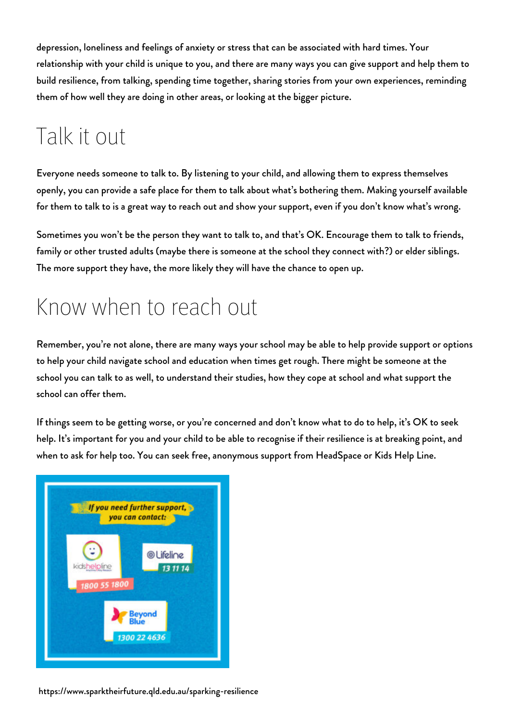depression, loneliness and feelings of anxiety or stress that can be associated with hard times. Your relationship with your child is unique to you, and there are many ways you can give support and help them to build resilience, from talking, spending time together, sharing stories from your own experiences, reminding them of how well they are doing in other areas, or looking at the bigger picture.

## Talk it out

Everyone needs someone to talk to. By listening to your child, and [allowing them to express themselves](https://www.sparktheirfuture.qld.edu.au/speaking-to-the-emotional-brain/) openly, you can provide a safe place for them to talk about what's bothering them. Making yourself available for them to talk to is a great way to reach out and show your support, even if you don't know what's wrong.

Sometimes you won't be the person they want to talk to, and that's OK. Encourage them to talk to friends, family or other [trusted adult](https://www.sparktheirfuture.qld.edu.au/how-trusted-adults-can-help-nurture-your-childs-spark/)s (maybe there is someone at the school they connect with?) or elder siblings. The more support they have, the more likely they will have the chance to open up.

#### Know when to reach out

Remember, [you're not alone,](https://www.sparktheirfuture.qld.edu.au/looking-after-you/) there are many ways your school may be able to help provide support or options to help your child navigate school and education when times get rough. There might be someone at the school you can talk to as well, to understand their studies, how they cope at school and what support the school can offer them.

If things seem to be getting worse, or you're concerned and don't know what to do to help, it's OK to seek help. It's important for you and your child to be able to recognise if their resilience is at breaking point, and when to ask for help too. You can seek free, anonymous support from [HeadSpace](https://headspace.org.au/) or [Kids Help Line](https://kidshelpline.com.au/).



https://www.sparktheirfuture.qld.edu.au/sparking-resilience